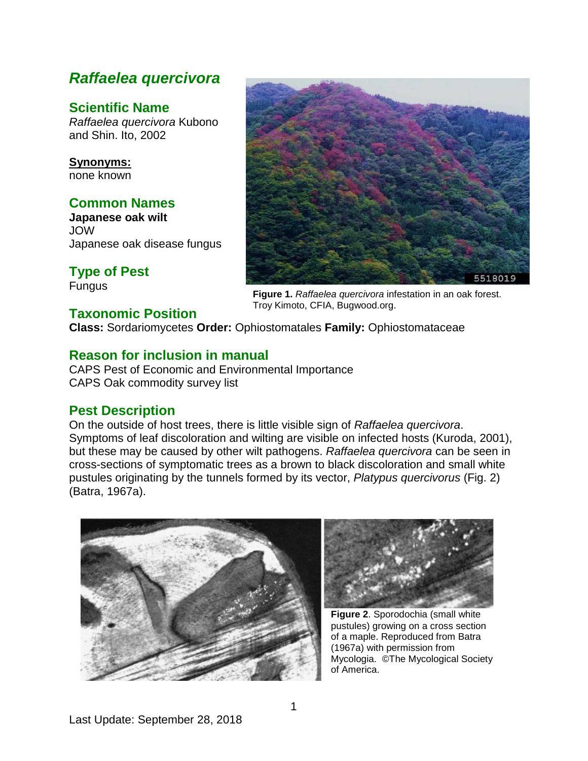# *Raffaelea quercivora*

## **Scientific Name**

*Raffaelea quercivora* Kubono and Shin. Ito, 2002

**Synonyms:** none known

### **Common Names**

**Japanese oak wilt** JOW Japanese oak disease fungus

**Type of Pest**

Fungus

### **Taxonomic Position**

5518019

**Figure 1.** *Raffaelea quercivora* infestation in an oak forest. Troy Kimoto, CFIA, Bugwood.org.

**Class:** Sordariomycetes **Order:** Ophiostomatales **Family:** Ophiostomataceae

### **Reason for inclusion in manual**

CAPS Pest of Economic and Environmental Importance CAPS Oak commodity survey list

### **Pest Description**

On the outside of host trees, there is little visible sign of *Raffaelea quercivora*. Symptoms of leaf discoloration and wilting are visible on infected hosts (Kuroda, 2001), but these may be caused by other wilt pathogens. *Raffaelea quercivora* can be seen in cross-sections of symptomatic trees as a brown to black discoloration and small white pustules originating by the tunnels formed by its vector, *Platypus quercivorus* (Fig. 2) (Batra, 1967a).





**Figure 2**. Sporodochia (small white pustules) growing on a cross section of a maple. Reproduced from Batra (1967a) with permission from Mycologia. ©The Mycological Society of America.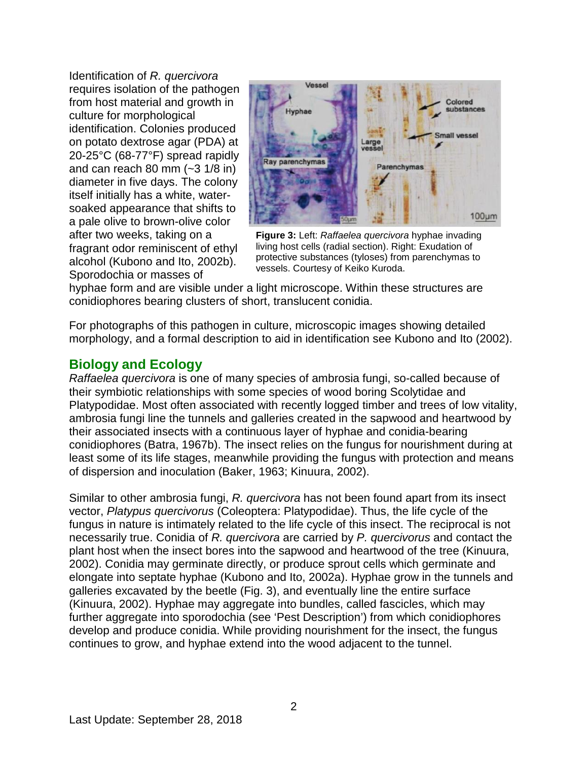Identification of *R. quercivora*  requires isolation of the pathogen from host material and growth in culture for morphological identification. Colonies produced on potato dextrose agar (PDA) at 20-25°C (68-77°F) spread rapidly and can reach 80 mm  $(-3 \frac{1}{8} \text{ in})$ diameter in five days. The colony itself initially has a white, watersoaked appearance that shifts to a pale olive to brown-olive color after two weeks, taking on a fragrant odor reminiscent of ethyl alcohol (Kubono and Ito, 2002b). Sporodochia or masses of



**Figure 3:** Left: *Raffaelea quercivora* hyphae invading living host cells (radial section). Right: Exudation of protective substances (tyloses) from parenchymas to vessels. Courtesy of Keiko Kuroda.

hyphae form and are visible under a light microscope. Within these structures are conidiophores bearing clusters of short, translucent conidia.

For photographs of this pathogen in culture, microscopic images showing detailed morphology, and a formal description to aid in identification see Kubono and Ito (2002).

### **Biology and Ecology**

*Raffaelea quercivora* is one of many species of ambrosia fungi, so-called because of their symbiotic relationships with some species of wood boring Scolytidae and Platypodidae. Most often associated with recently logged timber and trees of low vitality, ambrosia fungi line the tunnels and galleries created in the sapwood and heartwood by their associated insects with a continuous layer of hyphae and conidia-bearing conidiophores (Batra, 1967b). The insect relies on the fungus for nourishment during at least some of its life stages, meanwhile providing the fungus with protection and means of dispersion and inoculation (Baker, 1963; Kinuura, 2002).

Similar to other ambrosia fungi, *R. quercivora* has not been found apart from its insect vector, *Platypus quercivorus* (Coleoptera: Platypodidae). Thus, the life cycle of the fungus in nature is intimately related to the life cycle of this insect. The reciprocal is not necessarily true. Conidia of *R. quercivora* are carried by *P. quercivorus* and contact the plant host when the insect bores into the sapwood and heartwood of the tree (Kinuura, 2002). Conidia may germinate directly, or produce sprout cells which germinate and elongate into septate hyphae (Kubono and Ito, 2002a). Hyphae grow in the tunnels and galleries excavated by the beetle (Fig. 3), and eventually line the entire surface (Kinuura, 2002). Hyphae may aggregate into bundles, called fascicles, which may further aggregate into sporodochia (see 'Pest Description') from which conidiophores develop and produce conidia. While providing nourishment for the insect, the fungus continues to grow, and hyphae extend into the wood adjacent to the tunnel.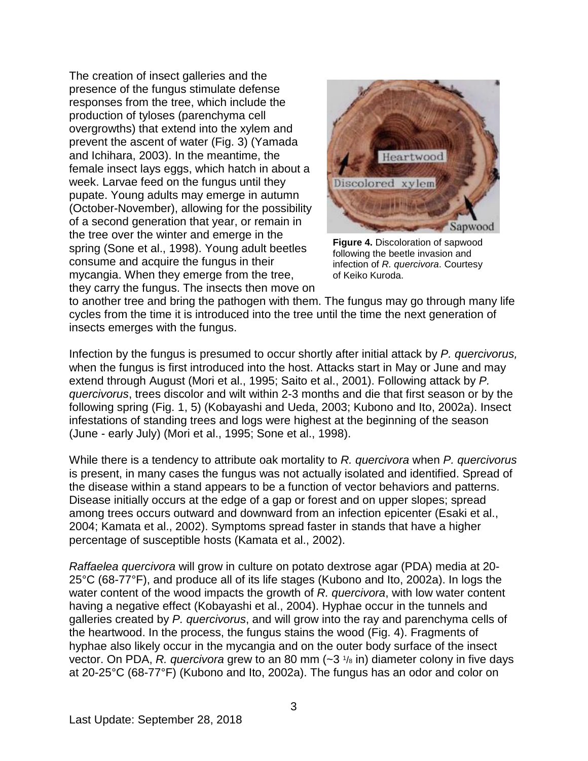The creation of insect galleries and the presence of the fungus stimulate defense responses from the tree, which include the production of tyloses (parenchyma cell overgrowths) that extend into the xylem and prevent the ascent of water (Fig. 3) (Yamada and Ichihara, 2003). In the meantime, the female insect lays eggs, which hatch in about a week. Larvae feed on the fungus until they pupate. Young adults may emerge in autumn (October-November), allowing for the possibility of a second generation that year, or remain in the tree over the winter and emerge in the spring (Sone et al., 1998). Young adult beetles consume and acquire the fungus in their mycangia. When they emerge from the tree, they carry the fungus. The insects then move on



**Figure 4.** Discoloration of sapwood following the beetle invasion and infection of *R. quercivora*. Courtesy of Keiko Kuroda.

to another tree and bring the pathogen with them. The fungus may go through many life cycles from the time it is introduced into the tree until the time the next generation of insects emerges with the fungus.

Infection by the fungus is presumed to occur shortly after initial attack by *P. quercivorus,*  when the fungus is first introduced into the host. Attacks start in May or June and may extend through August (Mori et al., 1995; Saito et al., 2001). Following attack by *P. quercivorus*, trees discolor and wilt within 2-3 months and die that first season or by the following spring (Fig. 1, 5) (Kobayashi and Ueda, 2003; Kubono and Ito, 2002a). Insect infestations of standing trees and logs were highest at the beginning of the season (June - early July) (Mori et al., 1995; Sone et al., 1998).

While there is a tendency to attribute oak mortality to *R. quercivora* when *P. quercivorus* is present, in many cases the fungus was not actually isolated and identified. Spread of the disease within a stand appears to be a function of vector behaviors and patterns. Disease initially occurs at the edge of a gap or forest and on upper slopes; spread among trees occurs outward and downward from an infection epicenter (Esaki et al., 2004; Kamata et al., 2002). Symptoms spread faster in stands that have a higher percentage of susceptible hosts (Kamata et al., 2002).

*Raffaelea quercivora* will grow in culture on potato dextrose agar (PDA) media at 20- 25°C (68-77°F), and produce all of its life stages (Kubono and Ito, 2002a). In logs the water content of the wood impacts the growth of *R. quercivora*, with low water content having a negative effect (Kobayashi et al., 2004). Hyphae occur in the tunnels and galleries created by *P. quercivorus*, and will grow into the ray and parenchyma cells of the heartwood. In the process, the fungus stains the wood (Fig. 4). Fragments of hyphae also likely occur in the mycangia and on the outer body surface of the insect vector. On PDA, *R. quercivora* grew to an 80 mm (~3 1/8 in) diameter colony in five days at 20-25°C (68-77°F) (Kubono and Ito, 2002a). The fungus has an odor and color on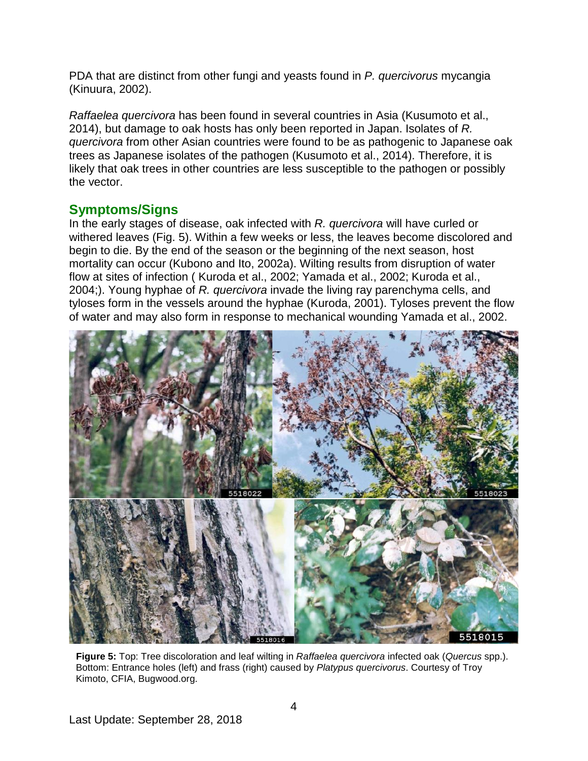PDA that are distinct from other fungi and yeasts found in *P. quercivorus* mycangia (Kinuura, 2002).

*Raffaelea quercivora* has been found in several countries in Asia (Kusumoto et al., 2014), but damage to oak hosts has only been reported in Japan. Isolates of *R. quercivora* from other Asian countries were found to be as pathogenic to Japanese oak trees as Japanese isolates of the pathogen (Kusumoto et al., 2014). Therefore, it is likely that oak trees in other countries are less susceptible to the pathogen or possibly the vector.

### **Symptoms/Signs**

In the early stages of disease, oak infected with *R. quercivora* will have curled or withered leaves (Fig. 5). Within a few weeks or less, the leaves become discolored and begin to die. By the end of the season or the beginning of the next season, host mortality can occur (Kubono and Ito, 2002a). Wilting results from disruption of water flow at sites of infection ( Kuroda et al., 2002; Yamada et al., 2002; Kuroda et al., 2004;). Young hyphae of *R. quercivora* invade the living ray parenchyma cells, and tyloses form in the vessels around the hyphae (Kuroda, 2001). Tyloses prevent the flow of water and may also form in response to mechanical wounding Yamada et al., 2002.



**Figure 5:** Top: Tree discoloration and leaf wilting in *Raffaelea quercivora* infected oak (*Quercus* spp.). Bottom: Entrance holes (left) and frass (right) caused by *Platypus quercivorus*. Courtesy of Troy Kimoto, CFIA, Bugwood.org.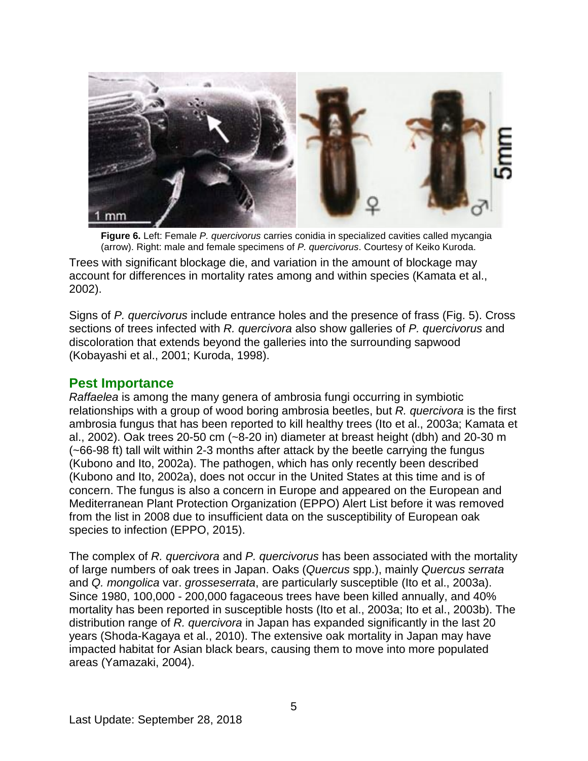

**Figure 6.** Left: Female *P. quercivorus* carries conidia in specialized cavities called mycangia (arrow). Right: male and female specimens of *P. quercivorus*. Courtesy of Keiko Kuroda.

Trees with significant blockage die, and variation in the amount of blockage may account for differences in mortality rates among and within species (Kamata et al., 2002).

Signs of *P. quercivorus* include entrance holes and the presence of frass (Fig. 5). Cross sections of trees infected with *R. quercivora* also show galleries of *P. quercivorus* and discoloration that extends beyond the galleries into the surrounding sapwood (Kobayashi et al., 2001; Kuroda, 1998).

#### **Pest Importance**

*Raffaelea* is among the many genera of ambrosia fungi occurring in symbiotic relationships with a group of wood boring ambrosia beetles, but *R. quercivora* is the first ambrosia fungus that has been reported to kill healthy trees (Ito et al., 2003a; Kamata et al., 2002). Oak trees 20-50 cm (~8-20 in) diameter at breast height (dbh) and 20-30 m (~66-98 ft) tall wilt within 2-3 months after attack by the beetle carrying the fungus (Kubono and Ito, 2002a). The pathogen, which has only recently been described (Kubono and Ito, 2002a), does not occur in the United States at this time and is of concern. The fungus is also a concern in Europe and appeared on the European and Mediterranean Plant Protection Organization (EPPO) Alert List before it was removed from the list in 2008 due to insufficient data on the susceptibility of European oak species to infection (EPPO, 2015).

The complex of *R. quercivora* and *P. quercivorus* has been associated with the mortality of large numbers of oak trees in Japan. Oaks (*Quercus* spp.), mainly *Quercus serrata* and *Q. mongolica* var. *grosseserrata*, are particularly susceptible (Ito et al., 2003a). Since 1980, 100,000 - 200,000 fagaceous trees have been killed annually, and 40% mortality has been reported in susceptible hosts (Ito et al., 2003a; Ito et al., 2003b). The distribution range of *R. quercivora* in Japan has expanded significantly in the last 20 years (Shoda-Kagaya et al., 2010). The extensive oak mortality in Japan may have impacted habitat for Asian black bears, causing them to move into more populated areas (Yamazaki, 2004).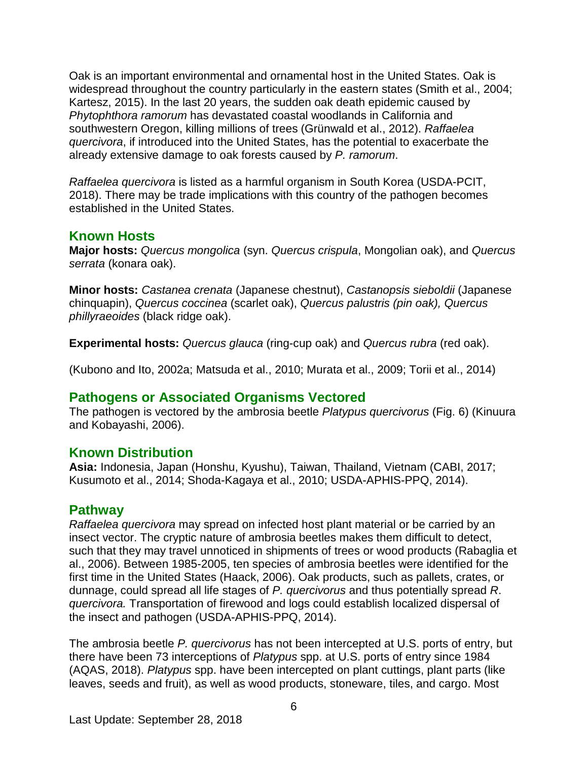Oak is an important environmental and ornamental host in the United States. Oak is widespread throughout the country particularly in the eastern states (Smith et al., 2004; Kartesz, 2015). In the last 20 years, the sudden oak death epidemic caused by *Phytophthora ramorum* has devastated coastal woodlands in California and southwestern Oregon, killing millions of trees (Grünwald et al., 2012). *Raffaelea quercivora*, if introduced into the United States, has the potential to exacerbate the already extensive damage to oak forests caused by *P. ramorum*.

*Raffaelea quercivora* is listed as a harmful organism in South Korea (USDA-PCIT, 2018). There may be trade implications with this country of the pathogen becomes established in the United States.

#### **Known Hosts**

**Major hosts:** *Quercus mongolica* (syn. *Quercus crispula*, Mongolian oak), and *Quercus serrata* (konara oak).

**Minor hosts:** *Castanea crenata* (Japanese chestnut), *Castanopsis sieboldii* (Japanese chinquapin), *Quercus coccinea* (scarlet oak), *Quercus palustris (pin oak), Quercus phillyraeoides* (black ridge oak).

**Experimental hosts:** *Quercus glauca* (ring-cup oak) and *Quercus rubra* (red oak).

(Kubono and Ito, 2002a; Matsuda et al., 2010; Murata et al., 2009; Torii et al., 2014)

#### **Pathogens or Associated Organisms Vectored**

The pathogen is vectored by the ambrosia beetle *Platypus quercivorus* (Fig. 6) (Kinuura and Kobayashi, 2006).

#### **Known Distribution**

**Asia:** Indonesia, Japan (Honshu, Kyushu), Taiwan, Thailand, Vietnam (CABI, 2017; Kusumoto et al., 2014; Shoda-Kagaya et al., 2010; USDA-APHIS-PPQ, 2014).

#### **Pathway**

*Raffaelea quercivora* may spread on infected host plant material or be carried by an insect vector. The cryptic nature of ambrosia beetles makes them difficult to detect, such that they may travel unnoticed in shipments of trees or wood products (Rabaglia et al., 2006). Between 1985-2005, ten species of ambrosia beetles were identified for the first time in the United States (Haack, 2006). Oak products, such as pallets, crates, or dunnage, could spread all life stages of *P. quercivorus* and thus potentially spread *R*. *quercivora.* Transportation of firewood and logs could establish localized dispersal of the insect and pathogen (USDA-APHIS-PPQ, 2014).

The ambrosia beetle *P. quercivorus* has not been intercepted at U.S. ports of entry, but there have been 73 interceptions of *Platypus* spp. at U.S. ports of entry since 1984 (AQAS, 2018). *Platypus* spp. have been intercepted on plant cuttings, plant parts (like leaves, seeds and fruit), as well as wood products, stoneware, tiles, and cargo. Most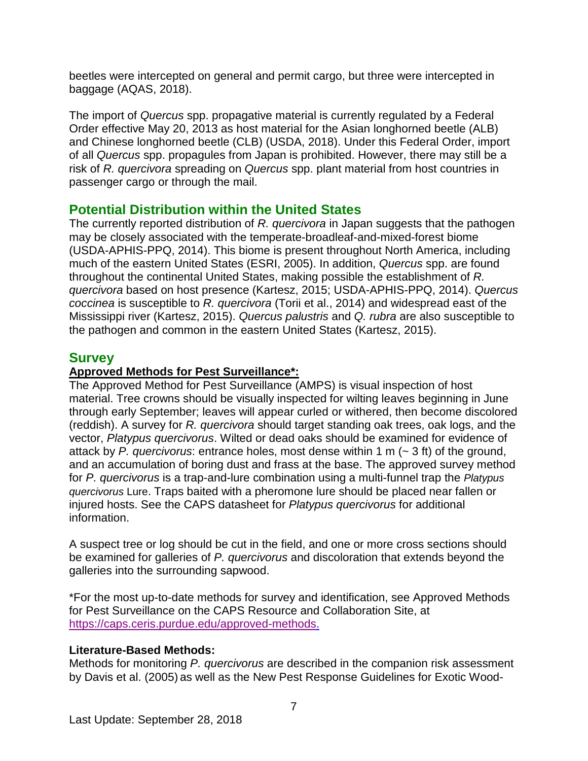beetles were intercepted on general and permit cargo, but three were intercepted in baggage (AQAS, 2018).

The import of *Quercus* spp. propagative material is currently regulated by a Federal Order effective May 20, 2013 as host material for the Asian longhorned beetle (ALB) and Chinese longhorned beetle (CLB) (USDA, 2018). Under this Federal Order, import of all *Quercus* spp. propagules from Japan is prohibited. However, there may still be a risk of *R. quercivora* spreading on *Quercus* spp. plant material from host countries in passenger cargo or through the mail.

### **Potential Distribution within the United States**

The currently reported distribution of *R. quercivora* in Japan suggests that the pathogen may be closely associated with the temperate-broadleaf-and-mixed-forest biome (USDA-APHIS-PPQ, 2014). This biome is present throughout North America, including much of the eastern United States (ESRI, 2005). In addition, *Quercus* spp. are found throughout the continental United States, making possible the establishment of *R. quercivora* based on host presence (Kartesz, 2015; USDA-APHIS-PPQ, 2014). *Quercus coccinea* is susceptible to *R. quercivora* (Torii et al., 2014) and widespread east of the Mississippi river (Kartesz, 2015). *Quercus palustris* and *Q. rubra* are also susceptible to the pathogen and common in the eastern United States (Kartesz, 2015).

### **Survey**

#### **Approved Methods for Pest Surveillance\*:**

The Approved Method for Pest Surveillance (AMPS) is visual inspection of host material. Tree crowns should be visually inspected for wilting leaves beginning in June through early September; leaves will appear curled or withered, then become discolored (reddish). A survey for *R. quercivora* should target standing oak trees, oak logs, and the vector, *Platypus quercivorus*. Wilted or dead oaks should be examined for evidence of attack by *P. quercivorus*: entrance holes, most dense within 1 m (~ 3 ft) of the ground, and an accumulation of boring dust and frass at the base. The approved survey method for *P. quercivorus* is a trap-and-lure combination using a multi-funnel trap the *Platypus quercivorus* Lure. Traps baited with a pheromone lure should be placed near fallen or injured hosts. See the CAPS datasheet for *Platypus quercivorus* for additional information.

A suspect tree or log should be cut in the field, and one or more cross sections should be examined for galleries of *P. quercivorus* and discoloration that extends beyond the galleries into the surrounding sapwood.

\*For the most up-to-date methods for survey and identification, see Approved Methods for Pest Surveillance on the CAPS Resource and Collaboration Site, at [https://caps.ceris.purdue.edu/approved-methods.](https://caps.ceris.purdue.edu/approved-methods)

#### **Literature-Based Methods:**

Methods for monitoring *P. quercivorus* are described in the companion risk assessment by Davis et al. (2005) as well as the New Pest Response Guidelines for Exotic Wood-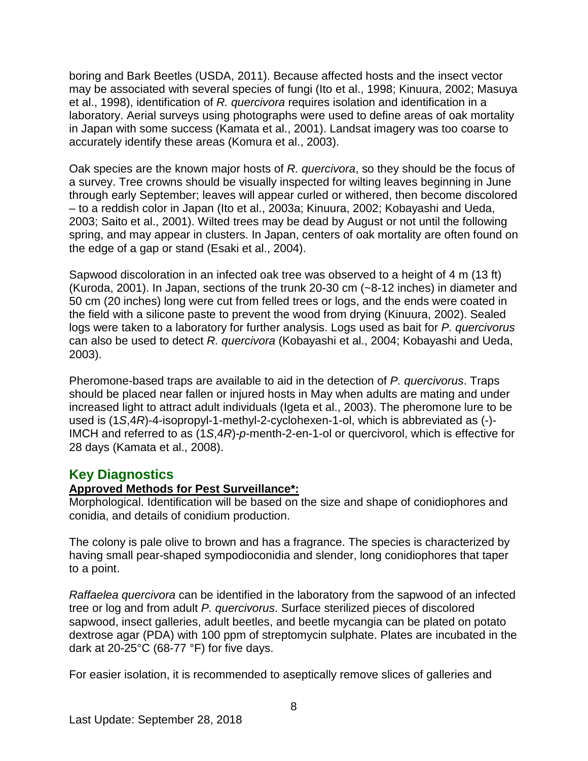boring and Bark Beetles (USDA, 2011). Because affected hosts and the insect vector may be associated with several species of fungi (Ito et al., 1998; Kinuura, 2002; Masuya et al., 1998), identification of *R. quercivora* requires isolation and identification in a laboratory. Aerial surveys using photographs were used to define areas of oak mortality in Japan with some success (Kamata et al., 2001). Landsat imagery was too coarse to accurately identify these areas (Komura et al., 2003).

Oak species are the known major hosts of *R. quercivora*, so they should be the focus of a survey. Tree crowns should be visually inspected for wilting leaves beginning in June through early September; leaves will appear curled or withered, then become discolored – to a reddish color in Japan (Ito et al., 2003a; Kinuura, 2002; Kobayashi and Ueda, 2003; Saito et al., 2001). Wilted trees may be dead by August or not until the following spring, and may appear in clusters. In Japan, centers of oak mortality are often found on the edge of a gap or stand (Esaki et al., 2004).

Sapwood discoloration in an infected oak tree was observed to a height of 4 m (13 ft) (Kuroda, 2001). In Japan, sections of the trunk 20-30 cm (~8-12 inches) in diameter and 50 cm (20 inches) long were cut from felled trees or logs, and the ends were coated in the field with a silicone paste to prevent the wood from drying (Kinuura, 2002). Sealed logs were taken to a laboratory for further analysis. Logs used as bait for *P. quercivorus* can also be used to detect *R. quercivora* (Kobayashi et al., 2004; Kobayashi and Ueda, 2003).

Pheromone-based traps are available to aid in the detection of *P. quercivorus*. Traps should be placed near fallen or injured hosts in May when adults are mating and under increased light to attract adult individuals (Igeta et al., 2003). The pheromone lure to be used is (1*S*,4*R*)-4-isopropyl-1-methyl-2-cyclohexen-1-ol, which is abbreviated as (-)- IMCH and referred to as (1*S*,4*R*)-*p*-menth-2-en-1-ol or quercivorol, which is effective for 28 days (Kamata et al., 2008).

#### **Key Diagnostics**

#### **Approved Methods for Pest Surveillance\*:**

Morphological. Identification will be based on the size and shape of conidiophores and conidia, and details of conidium production.

The colony is pale olive to brown and has a fragrance. The species is characterized by having small pear-shaped sympodioconidia and slender, long conidiophores that taper to a point.

*Raffaelea quercivora* can be identified in the laboratory from the sapwood of an infected tree or log and from adult *P. quercivorus*. Surface sterilized pieces of discolored sapwood, insect galleries, adult beetles, and beetle mycangia can be plated on potato dextrose agar (PDA) with 100 ppm of streptomycin sulphate. Plates are incubated in the dark at 20-25°C (68-77 °F) for five days.

For easier isolation, it is recommended to aseptically remove slices of galleries and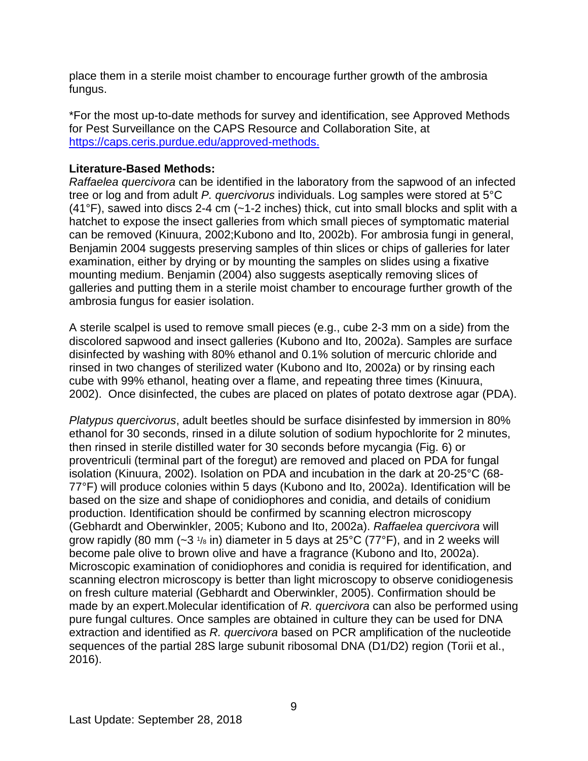place them in a sterile moist chamber to encourage further growth of the ambrosia fungus.

\*For the most up-to-date methods for survey and identification, see Approved Methods for Pest Surveillance on the CAPS Resource and Collaboration Site, at [https://caps.ceris.purdue.edu/approved-methods.](https://caps.ceris.purdue.edu/approved-methods)

#### **Literature-Based Methods:**

*Raffaelea quercivora* can be identified in the laboratory from the sapwood of an infected tree or log and from adult *P. quercivorus* individuals. Log samples were stored at 5°C  $(41^{\circ}F)$ , sawed into discs 2-4 cm (~1-2 inches) thick, cut into small blocks and split with a hatchet to expose the insect galleries from which small pieces of symptomatic material can be removed (Kinuura, 2002;Kubono and Ito, 2002b). For ambrosia fungi in general, Benjamin 2004 suggests preserving samples of thin slices or chips of galleries for later examination, either by drying or by mounting the samples on slides using a fixative mounting medium. Benjamin (2004) also suggests aseptically removing slices of galleries and putting them in a sterile moist chamber to encourage further growth of the ambrosia fungus for easier isolation.

A sterile scalpel is used to remove small pieces (e.g., cube 2-3 mm on a side) from the discolored sapwood and insect galleries (Kubono and Ito, 2002a). Samples are surface disinfected by washing with 80% ethanol and 0.1% solution of mercuric chloride and rinsed in two changes of sterilized water (Kubono and Ito, 2002a) or by rinsing each cube with 99% ethanol, heating over a flame, and repeating three times (Kinuura, 2002). Once disinfected, the cubes are placed on plates of potato dextrose agar (PDA).

*Platypus quercivorus*, adult beetles should be surface disinfested by immersion in 80% ethanol for 30 seconds, rinsed in a dilute solution of sodium hypochlorite for 2 minutes, then rinsed in sterile distilled water for 30 seconds before mycangia (Fig. 6) or proventriculi (terminal part of the foregut) are removed and placed on PDA for fungal isolation (Kinuura, 2002). Isolation on PDA and incubation in the dark at 20-25°C (68- 77°F) will produce colonies within 5 days (Kubono and Ito, 2002a). Identification will be based on the size and shape of conidiophores and conidia, and details of conidium production. Identification should be confirmed by scanning electron microscopy (Gebhardt and Oberwinkler, 2005; Kubono and Ito, 2002a). *Raffaelea quercivora* will grow rapidly (80 mm  $(-3 \frac{1}{8}$  in) diameter in 5 days at 25°C (77°F), and in 2 weeks will become pale olive to brown olive and have a fragrance (Kubono and Ito, 2002a). Microscopic examination of conidiophores and conidia is required for identification, and scanning electron microscopy is better than light microscopy to observe conidiogenesis on fresh culture material (Gebhardt and Oberwinkler, 2005). Confirmation should be made by an expert.Molecular identification of *R. quercivora* can also be performed using pure fungal cultures. Once samples are obtained in culture they can be used for DNA extraction and identified as *R. quercivora* based on PCR amplification of the nucleotide sequences of the partial 28S large subunit ribosomal DNA (D1/D2) region (Torii et al., 2016).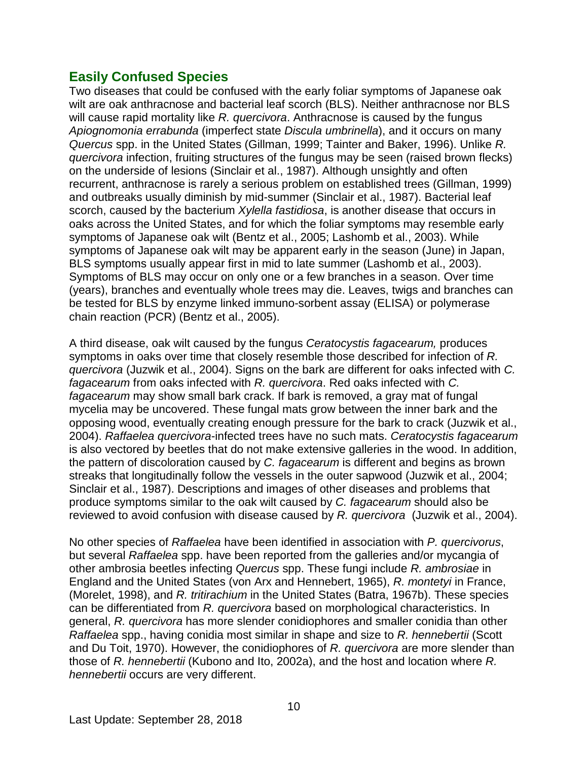### **Easily Confused Species**

Two diseases that could be confused with the early foliar symptoms of Japanese oak wilt are oak anthracnose and bacterial leaf scorch (BLS). Neither anthracnose nor BLS will cause rapid mortality like *R. quercivora*. Anthracnose is caused by the fungus *Apiognomonia errabunda* (imperfect state *Discula umbrinella*), and it occurs on many *Quercus* spp. in the United States (Gillman, 1999; Tainter and Baker, 1996). Unlike *R. quercivora* infection, fruiting structures of the fungus may be seen (raised brown flecks) on the underside of lesions (Sinclair et al., 1987). Although unsightly and often recurrent, anthracnose is rarely a serious problem on established trees (Gillman, 1999) and outbreaks usually diminish by mid-summer (Sinclair et al., 1987). Bacterial leaf scorch, caused by the bacterium *Xylella fastidiosa*, is another disease that occurs in oaks across the United States, and for which the foliar symptoms may resemble early symptoms of Japanese oak wilt (Bentz et al., 2005; Lashomb et al., 2003). While symptoms of Japanese oak wilt may be apparent early in the season (June) in Japan, BLS symptoms usually appear first in mid to late summer (Lashomb et al., 2003). Symptoms of BLS may occur on only one or a few branches in a season. Over time (years), branches and eventually whole trees may die. Leaves, twigs and branches can be tested for BLS by enzyme linked immuno-sorbent assay (ELISA) or polymerase chain reaction (PCR) (Bentz et al., 2005).

A third disease, oak wilt caused by the fungus *Ceratocystis fagacearum,* produces symptoms in oaks over time that closely resemble those described for infection of *R. quercivora* (Juzwik et al., 2004). Signs on the bark are different for oaks infected with *C. fagacearum* from oaks infected with *R. quercivora*. Red oaks infected with *C. fagacearum* may show small bark crack. If bark is removed, a gray mat of fungal mycelia may be uncovered. These fungal mats grow between the inner bark and the opposing wood, eventually creating enough pressure for the bark to crack (Juzwik et al., 2004). *Raffaelea quercivora*-infected trees have no such mats. *Ceratocystis fagacearum* is also vectored by beetles that do not make extensive galleries in the wood. In addition, the pattern of discoloration caused by *C. fagacearum* is different and begins as brown streaks that longitudinally follow the vessels in the outer sapwood (Juzwik et al., 2004; Sinclair et al., 1987). Descriptions and images of other diseases and problems that produce symptoms similar to the oak wilt caused by *C. fagacearum* should also be reviewed to avoid confusion with disease caused by *R. quercivora* (Juzwik et al., 2004).

No other species of *Raffaelea* have been identified in association with *P. quercivorus*, but several *Raffaelea* spp. have been reported from the galleries and/or mycangia of other ambrosia beetles infecting *Quercus* spp. These fungi include *R. ambrosiae* in England and the United States (von Arx and Hennebert, 1965), *R. montetyi* in France, (Morelet, 1998), and *R. tritirachium* in the United States (Batra, 1967b). These species can be differentiated from *R. quercivora* based on morphological characteristics. In general, *R. quercivora* has more slender conidiophores and smaller conidia than other *Raffaelea* spp., having conidia most similar in shape and size to *R. hennebertii* (Scott and Du Toit, 1970). However, the conidiophores of *R. quercivora* are more slender than those of *R. hennebertii* (Kubono and Ito, 2002a), and the host and location where *R. hennebertii* occurs are very different.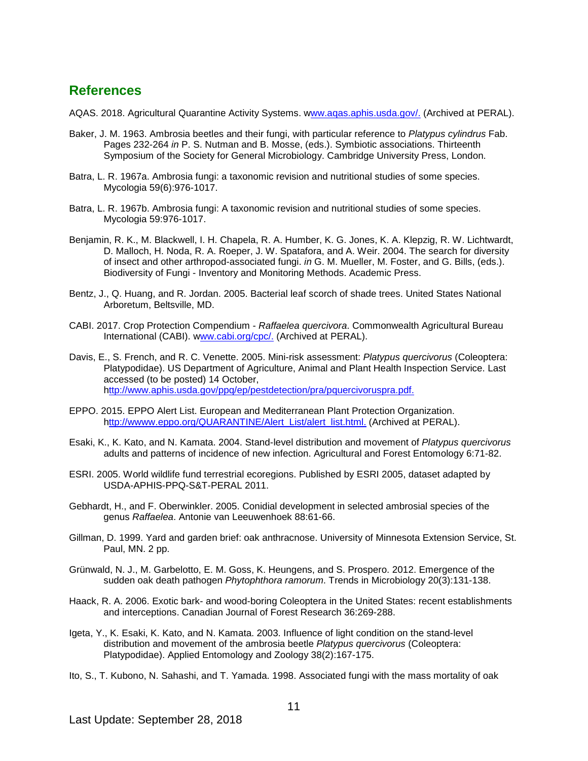#### **References**

AQAS. 2018. Agricultural Quarantine Activity Systems. [www.aqas.aphis.usda.gov/.](https://usdagcc.sharepoint.com/sites/aphis-ppq-scitech/cphst/pd/CAPS%20Library/CPHST%20CAPS%20Core%20Team/CAPS%20datasheet%20revisions/2018%20revisions/Raffaelea%20quercivora/ww.aqas.aphis.usda.gov/) (Archived at PERAL).

- Baker, J. M. 1963. Ambrosia beetles and their fungi, with particular reference to *Platypus cylindrus* Fab. Pages 232-264 *in* P. S. Nutman and B. Mosse, (eds.). Symbiotic associations. Thirteenth Symposium of the Society for General Microbiology. Cambridge University Press, London.
- Batra, L. R. 1967a. Ambrosia fungi: a taxonomic revision and nutritional studies of some species. Mycologia 59(6):976-1017.
- Batra, L. R. 1967b. Ambrosia fungi: A taxonomic revision and nutritional studies of some species. Mycologia 59:976-1017.
- Benjamin, R. K., M. Blackwell, I. H. Chapela, R. A. Humber, K. G. Jones, K. A. Klepzig, R. W. Lichtwardt, D. Malloch, H. Noda, R. A. Roeper, J. W. Spatafora, and A. Weir. 2004. The search for diversity of insect and other arthropod-associated fungi. *in* G. M. Mueller, M. Foster, and G. Bills, (eds.). Biodiversity of Fungi - Inventory and Monitoring Methods. Academic Press.
- Bentz, J., Q. Huang, and R. Jordan. 2005. Bacterial leaf scorch of shade trees. United States National Arboretum, Beltsville, MD.
- CABI. 2017. Crop Protection Compendium *Raffaelea quercivora*. Commonwealth Agricultural Bureau International (CABI). [www.cabi.org/cpc/.](https://usdagcc.sharepoint.com/sites/aphis-ppq-scitech/cphst/pd/CAPS%20Library/CPHST%20CAPS%20Core%20Team/CAPS%20datasheet%20revisions/2018%20revisions/Raffaelea%20quercivora/ww.cabi.org/cpc/) (Archived at PERAL).
- Davis, E., S. French, and R. C. Venette. 2005. Mini-risk assessment: *Platypus quercivorus* (Coleoptera: Platypodidae). US Department of Agriculture, Animal and Plant Health Inspection Service. Last accessed (to be posted) 14 October, [http://www.aphis.usda.gov/ppq/ep/pestdetection/pra/pquercivoruspra.pdf.](ttp://www.aphis.usda.gov/ppq/ep/pestdetection/pra/pquercivoruspra.pdf.)
- EPPO. 2015. EPPO Alert List. European and Mediterranean Plant Protection Organization. [http://wwww.eppo.org/QUARANTINE/Alert\\_List/alert\\_list.html.](ttp://wwww.eppo.org/QUARANTINE/Alert_List/alert_list.html.) (Archived at PERAL).
- Esaki, K., K. Kato, and N. Kamata. 2004. Stand-level distribution and movement of *Platypus quercivorus* adults and patterns of incidence of new infection. Agricultural and Forest Entomology 6:71-82.
- ESRI. 2005. World wildlife fund terrestrial ecoregions. Published by ESRI 2005, dataset adapted by USDA-APHIS-PPQ-S&T-PERAL 2011.
- Gebhardt, H., and F. Oberwinkler. 2005. Conidial development in selected ambrosial species of the genus *Raffaelea*. Antonie van Leeuwenhoek 88:61-66.
- Gillman, D. 1999. Yard and garden brief: oak anthracnose. University of Minnesota Extension Service, St. Paul, MN. 2 pp.
- Grünwald, N. J., M. Garbelotto, E. M. Goss, K. Heungens, and S. Prospero. 2012. Emergence of the sudden oak death pathogen *Phytophthora ramorum*. Trends in Microbiology 20(3):131-138.
- Haack, R. A. 2006. Exotic bark- and wood-boring Coleoptera in the United States: recent establishments and interceptions. Canadian Journal of Forest Research 36:269-288.
- Igeta, Y., K. Esaki, K. Kato, and N. Kamata. 2003. Influence of light condition on the stand-level distribution and movement of the ambrosia beetle *Platypus quercivorus* (Coleoptera: Platypodidae). Applied Entomology and Zoology 38(2):167-175.
- Ito, S., T. Kubono, N. Sahashi, and T. Yamada. 1998. Associated fungi with the mass mortality of oak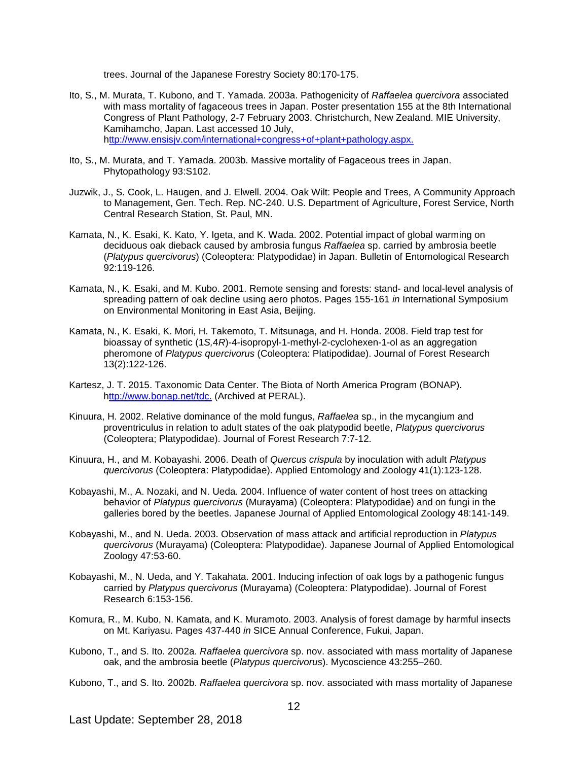trees. Journal of the Japanese Forestry Society 80:170-175.

- Ito, S., M. Murata, T. Kubono, and T. Yamada. 2003a. Pathogenicity of *Raffaelea quercivora* associated with mass mortality of fagaceous trees in Japan. Poster presentation 155 at the 8th International Congress of Plant Pathology, 2-7 February 2003. Christchurch, New Zealand. MIE University, Kamihamcho, Japan. Last accessed 10 July, [http://www.ensisjv.com/international+congress+of+plant+pathology.aspx.](ttp://www.ensisjv.com/international+congress+of+plant+pathology.aspx.)
- Ito, S., M. Murata, and T. Yamada. 2003b. Massive mortality of Fagaceous trees in Japan. Phytopathology 93:S102.
- Juzwik, J., S. Cook, L. Haugen, and J. Elwell. 2004. Oak Wilt: People and Trees, A Community Approach to Management, Gen. Tech. Rep. NC-240. U.S. Department of Agriculture, Forest Service, North Central Research Station, St. Paul, MN.
- Kamata, N., K. Esaki, K. Kato, Y. Igeta, and K. Wada. 2002. Potential impact of global warming on deciduous oak dieback caused by ambrosia fungus *Raffaelea* sp. carried by ambrosia beetle (*Platypus quercivorus*) (Coleoptera: Platypodidae) in Japan. Bulletin of Entomological Research 92:119-126.
- Kamata, N., K. Esaki, and M. Kubo. 2001. Remote sensing and forests: stand- and local-level analysis of spreading pattern of oak decline using aero photos. Pages 155-161 *in* International Symposium on Environmental Monitoring in East Asia, Beijing.
- Kamata, N., K. Esaki, K. Mori, H. Takemoto, T. Mitsunaga, and H. Honda. 2008. Field trap test for bioassay of synthetic (1*S,*4*R*)-4-isopropyl-1-methyl-2-cyclohexen-1-ol as an aggregation pheromone of *Platypus quercivorus* (Coleoptera: Platipodidae). Journal of Forest Research 13(2):122-126.
- Kartesz, J. T. 2015. Taxonomic Data Center. The Biota of North America Program (BONAP). [http://www.bonap.net/tdc.](ttp://www.bonap.net/tdc.) (Archived at PERAL).
- Kinuura, H. 2002. Relative dominance of the mold fungus, *Raffaelea* sp., in the mycangium and proventriculus in relation to adult states of the oak platypodid beetle, *Platypus quercivorus*  (Coleoptera; Platypodidae). Journal of Forest Research 7:7-12.
- Kinuura, H., and M. Kobayashi. 2006. Death of *Quercus crispula* by inoculation with adult *Platypus quercivorus* (Coleoptera: Platypodidae). Applied Entomology and Zoology 41(1):123-128.
- Kobayashi, M., A. Nozaki, and N. Ueda. 2004. Influence of water content of host trees on attacking behavior of *Platypus quercivorus* (Murayama) (Coleoptera: Platypodidae) and on fungi in the galleries bored by the beetles. Japanese Journal of Applied Entomological Zoology 48:141-149.
- Kobayashi, M., and N. Ueda. 2003. Observation of mass attack and artificial reproduction in *Platypus quercivorus* (Murayama) (Coleoptera: Platypodidae). Japanese Journal of Applied Entomological Zoology 47:53-60.
- Kobayashi, M., N. Ueda, and Y. Takahata. 2001. Inducing infection of oak logs by a pathogenic fungus carried by *Platypus quercivorus* (Murayama) (Coleoptera: Platypodidae). Journal of Forest Research 6:153-156.
- Komura, R., M. Kubo, N. Kamata, and K. Muramoto. 2003. Analysis of forest damage by harmful insects on Mt. Kariyasu. Pages 437-440 *in* SICE Annual Conference, Fukui, Japan.
- Kubono, T., and S. Ito. 2002a. *Raffaelea quercivora* sp. nov. associated with mass mortality of Japanese oak, and the ambrosia beetle (*Platypus quercivorus*). Mycoscience 43:255–260.
- Kubono, T., and S. Ito. 2002b. *Raffaelea quercivora* sp. nov. associated with mass mortality of Japanese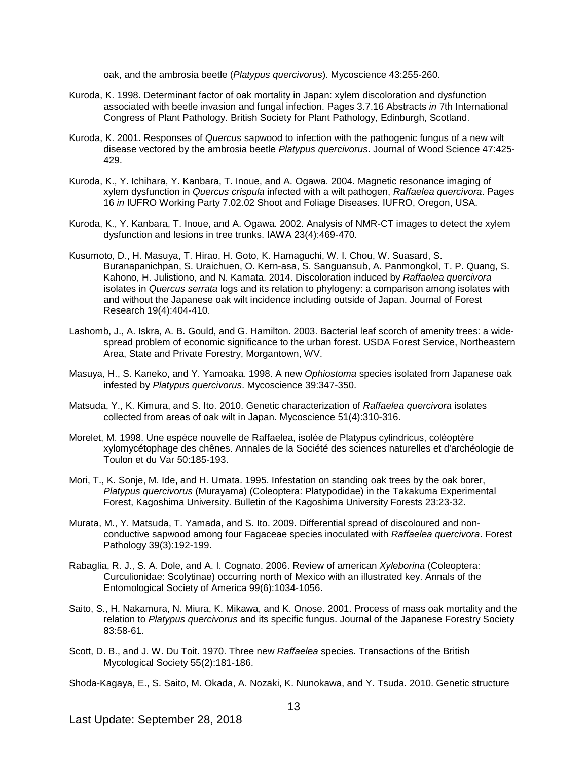oak, and the ambrosia beetle (*Platypus quercivorus*). Mycoscience 43:255-260.

- Kuroda, K. 1998. Determinant factor of oak mortality in Japan: xylem discoloration and dysfunction associated with beetle invasion and fungal infection. Pages 3.7.16 Abstracts *in* 7th International Congress of Plant Pathology. British Society for Plant Pathology, Edinburgh, Scotland.
- Kuroda, K. 2001. Responses of *Quercus* sapwood to infection with the pathogenic fungus of a new wilt disease vectored by the ambrosia beetle *Platypus quercivorus*. Journal of Wood Science 47:425- 429.
- Kuroda, K., Y. Ichihara, Y. Kanbara, T. Inoue, and A. Ogawa. 2004. Magnetic resonance imaging of xylem dysfunction in *Quercus crispula* infected with a wilt pathogen, *Raffaelea quercivora*. Pages 16 *in* IUFRO Working Party 7.02.02 Shoot and Foliage Diseases. IUFRO, Oregon, USA.
- Kuroda, K., Y. Kanbara, T. Inoue, and A. Ogawa. 2002. Analysis of NMR-CT images to detect the xylem dysfunction and lesions in tree trunks. IAWA 23(4):469-470.
- Kusumoto, D., H. Masuya, T. Hirao, H. Goto, K. Hamaguchi, W. I. Chou, W. Suasard, S. Buranapanichpan, S. Uraichuen, O. Kern-asa, S. Sanguansub, A. Panmongkol, T. P. Quang, S. Kahono, H. Julistiono, and N. Kamata. 2014. Discoloration induced by *Raffaelea quercivora*  isolates in *Quercus serrata* logs and its relation to phylogeny: a comparison among isolates with and without the Japanese oak wilt incidence including outside of Japan. Journal of Forest Research 19(4):404-410.
- Lashomb, J., A. Iskra, A. B. Gould, and G. Hamilton. 2003. Bacterial leaf scorch of amenity trees: a widespread problem of economic significance to the urban forest. USDA Forest Service, Northeastern Area, State and Private Forestry, Morgantown, WV.
- Masuya, H., S. Kaneko, and Y. Yamoaka. 1998. A new *Ophiostoma* species isolated from Japanese oak infested by *Platypus quercivorus*. Mycoscience 39:347-350.
- Matsuda, Y., K. Kimura, and S. Ito. 2010. Genetic characterization of *Raffaelea quercivora* isolates collected from areas of oak wilt in Japan. Mycoscience 51(4):310-316.
- Morelet, M. 1998. Une espèce nouvelle de Raffaelea, isolée de Platypus cylindricus, coléoptère xylomycétophage des chênes. Annales de la Société des sciences naturelles et d'archéologie de Toulon et du Var 50:185-193.
- Mori, T., K. Sonje, M. Ide, and H. Umata. 1995. Infestation on standing oak trees by the oak borer, *Platypus quercivorus* (Murayama) (Coleoptera: Platypodidae) in the Takakuma Experimental Forest, Kagoshima University. Bulletin of the Kagoshima University Forests 23:23-32.
- Murata, M., Y. Matsuda, T. Yamada, and S. Ito. 2009. Differential spread of discoloured and nonconductive sapwood among four Fagaceae species inoculated with *Raffaelea quercivora*. Forest Pathology 39(3):192-199.
- Rabaglia, R. J., S. A. Dole, and A. I. Cognato. 2006. Review of american *Xyleborina* (Coleoptera: Curculionidae: Scolytinae) occurring north of Mexico with an illustrated key. Annals of the Entomological Society of America 99(6):1034-1056.
- Saito, S., H. Nakamura, N. Miura, K. Mikawa, and K. Onose. 2001. Process of mass oak mortality and the relation to *Platypus quercivorus* and its specific fungus. Journal of the Japanese Forestry Society 83:58-61.
- Scott, D. B., and J. W. Du Toit. 1970. Three new *Raffaelea* species. Transactions of the British Mycological Society 55(2):181-186.

Shoda-Kagaya, E., S. Saito, M. Okada, A. Nozaki, K. Nunokawa, and Y. Tsuda. 2010. Genetic structure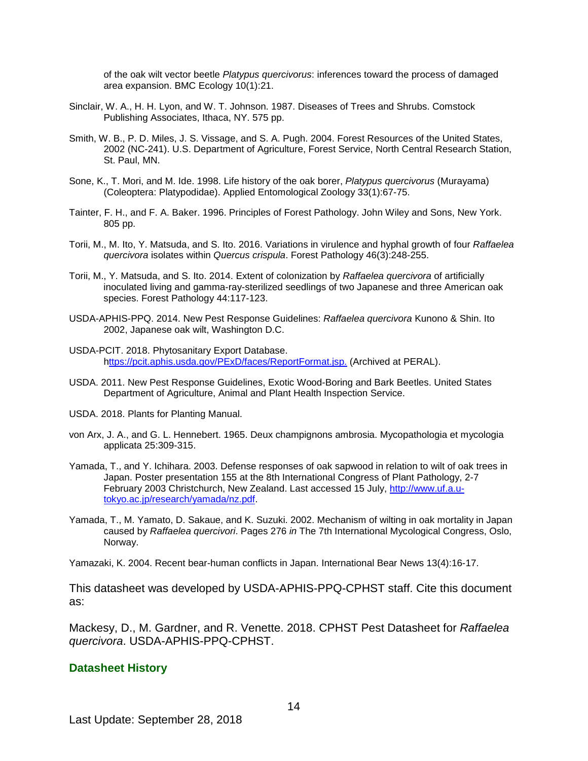of the oak wilt vector beetle *Platypus quercivorus*: inferences toward the process of damaged area expansion. BMC Ecology 10(1):21.

- Sinclair, W. A., H. H. Lyon, and W. T. Johnson. 1987. Diseases of Trees and Shrubs. Comstock Publishing Associates, Ithaca, NY. 575 pp.
- Smith, W. B., P. D. Miles, J. S. Vissage, and S. A. Pugh. 2004. Forest Resources of the United States, 2002 (NC-241). U.S. Department of Agriculture, Forest Service, North Central Research Station, St. Paul, MN.
- Sone, K., T. Mori, and M. Ide. 1998. Life history of the oak borer, *Platypus quercivorus* (Murayama) (Coleoptera: Platypodidae). Applied Entomological Zoology 33(1):67-75.
- Tainter, F. H., and F. A. Baker. 1996. Principles of Forest Pathology. John Wiley and Sons, New York. 805 pp.
- Torii, M., M. Ito, Y. Matsuda, and S. Ito. 2016. Variations in virulence and hyphal growth of four *Raffaelea quercivora* isolates within *Quercus crispula*. Forest Pathology 46(3):248-255.
- Torii, M., Y. Matsuda, and S. Ito. 2014. Extent of colonization by *Raffaelea quercivora* of artificially inoculated living and gamma-ray-sterilized seedlings of two Japanese and three American oak species. Forest Pathology 44:117-123.
- USDA-APHIS-PPQ. 2014. New Pest Response Guidelines: *Raffaelea quercivora* Kunono & Shin. Ito 2002, Japanese oak wilt, Washington D.C.
- USDA-PCIT. 2018. Phytosanitary Export Database. [https://pcit.aphis.usda.gov/PExD/faces/ReportFormat.jsp.](ttps://pcit.aphis.usda.gov/PExD/faces/ReportFormat.jsp.) (Archived at PERAL).
- USDA. 2011. New Pest Response Guidelines, Exotic Wood-Boring and Bark Beetles. United States Department of Agriculture, Animal and Plant Health Inspection Service.
- USDA. 2018. Plants for Planting Manual.
- von Arx, J. A., and G. L. Hennebert. 1965. Deux champignons ambrosia. Mycopathologia et mycologia applicata 25:309-315.
- Yamada, T., and Y. Ichihara. 2003. Defense responses of oak sapwood in relation to wilt of oak trees in Japan. Poster presentation 155 at the 8th International Congress of Plant Pathology, 2-7 February 2003 Christchurch, New Zealand. Last accessed 15 July, [http://www.uf.a.u](http://www.uf.a.u-tokyo.ac.jp/research/yamada/nz.pdf)[tokyo.ac.jp/research/yamada/nz.pdf.](http://www.uf.a.u-tokyo.ac.jp/research/yamada/nz.pdf)
- Yamada, T., M. Yamato, D. Sakaue, and K. Suzuki. 2002. Mechanism of wilting in oak mortality in Japan caused by *Raffaelea quercivori*. Pages 276 *in* The 7th International Mycological Congress, Oslo, Norway.

Yamazaki, K. 2004. Recent bear-human conflicts in Japan. International Bear News 13(4):16-17.

This datasheet was developed by USDA-APHIS-PPQ-CPHST staff. Cite this document as:

Mackesy, D., M. Gardner, and R. Venette. 2018. CPHST Pest Datasheet for *Raffaelea quercivora*. USDA-APHIS-PPQ-CPHST.

#### **Datasheet History**